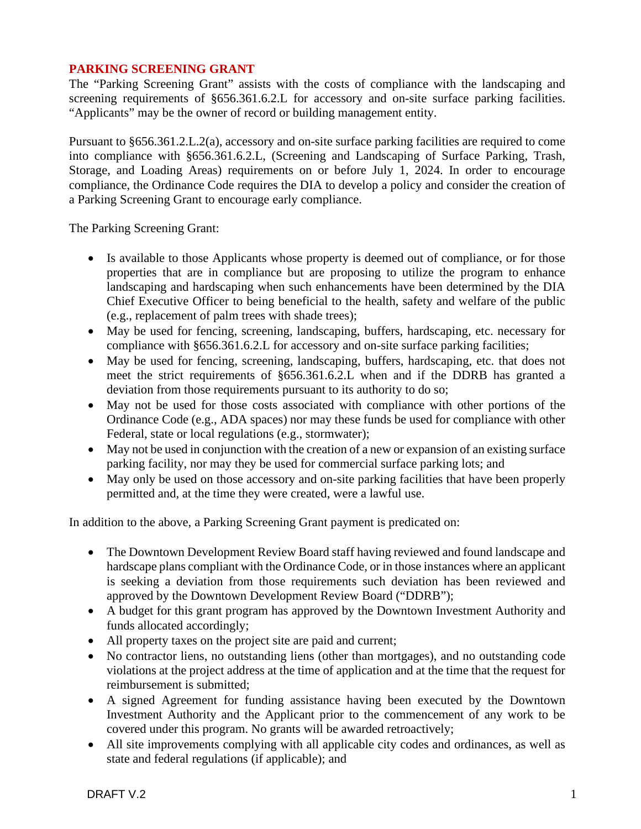## **PARKING SCREENING GRANT**

The "Parking Screening Grant" assists with the costs of compliance with the landscaping and screening requirements of §656.361.6.2. L for accessory and on-site surface parking facilities. "Applicants" may be the owner of record or building management entity.

Pursuant to §656.361.2.L.2(a), accessory and on-site surface parking facilities are required to come into compliance with §656.361.6.2.L, (Screening and Landscaping of Surface Parking, Trash, Storage, and Loading Areas) requirements on or before July 1, 2024. In order to encourage compliance, the Ordinance Code requires the DIA to develop a policy and consider the creation of a Parking Screening Grant to encourage early compliance.

The Parking Screening Grant:

- Is available to those Applicants whose property is deemed out of compliance, or for those properties that are in compliance but are proposing to utilize the program to enhance landscaping and hardscaping when such enhancements have been determined by the DIA Chief Executive Officer to being beneficial to the health, safety and welfare of the public (e.g., replacement of palm trees with shade trees);
- May be used for fencing, screening, landscaping, buffers, hardscaping, etc. necessary for compliance with §656.361.6.2.L for accessory and on-site surface parking facilities;
- May be used for fencing, screening, landscaping, buffers, hardscaping, etc. that does not meet the strict requirements of §656.361.6.2.L when and if the DDRB has granted a deviation from those requirements pursuant to its authority to do so;
- May not be used for those costs associated with compliance with other portions of the Ordinance Code (e.g., ADA spaces) nor may these funds be used for compliance with other Federal, state or local regulations (e.g., stormwater);
- May not be used in conjunction with the creation of a new or expansion of an existing surface parking facility, nor may they be used for commercial surface parking lots; and
- May only be used on those accessory and on-site parking facilities that have been properly permitted and, at the time they were created, were a lawful use.

In addition to the above, a Parking Screening Grant payment is predicated on:

- The Downtown Development Review Board staff having reviewed and found landscape and hardscape plans compliant with the Ordinance Code, or in those instances where an applicant is seeking a deviation from those requirements such deviation has been reviewed and approved by the Downtown Development Review Board ("DDRB");
- A budget for this grant program has approved by the Downtown Investment Authority and funds allocated accordingly;
- All property taxes on the project site are paid and current;
- No contractor liens, no outstanding liens (other than mortgages), and no outstanding code violations at the project address at the time of application and at the time that the request for reimbursement is submitted;
- A signed Agreement for funding assistance having been executed by the Downtown Investment Authority and the Applicant prior to the commencement of any work to be covered under this program. No grants will be awarded retroactively;
- All site improvements complying with all applicable city codes and ordinances, as well as state and federal regulations (if applicable); and